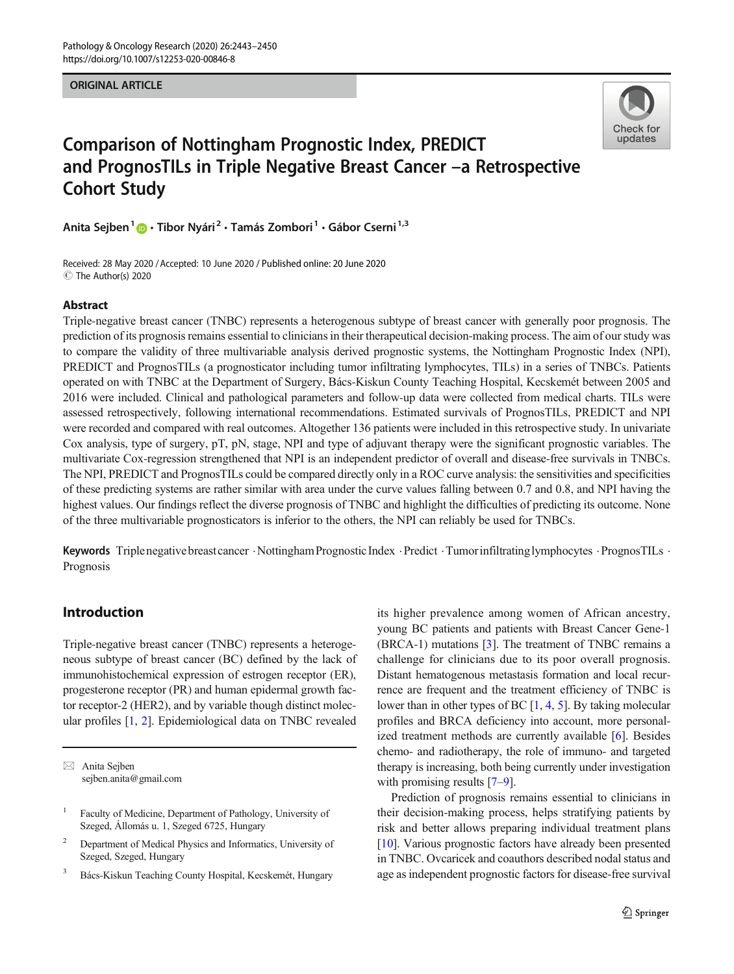#### ORIGINAL ARTICLE



# Comparison of Nottingham Prognostic Index, PREDICT and PrognosTILs in Triple Negative Breast Cancer –a Retrospective Cohort Study

Anita Sejben<sup>1</sup> D · Tibor Nyári<sup>2</sup> · Tamás Zombori<sup>1</sup> · Gábor Cserni<sup>1,3</sup>

Received: 28 May 2020 / Accepted: 10 June 2020 / Published online: 20 June 2020  $\circledcirc$  The Author(s) 2020

## Abstract

Triple-negative breast cancer (TNBC) represents a heterogenous subtype of breast cancer with generally poor prognosis. The prediction of its prognosis remains essential to clinicians in their therapeutical decision-making process. The aim of our study was to compare the validity of three multivariable analysis derived prognostic systems, the Nottingham Prognostic Index (NPI), PREDICT and PrognosTILs (a prognosticator including tumor infiltrating lymphocytes, TILs) in a series of TNBCs. Patients operated on with TNBC at the Department of Surgery, Bács-Kiskun County Teaching Hospital, Kecskemét between 2005 and 2016 were included. Clinical and pathological parameters and follow-up data were collected from medical charts. TILs were assessed retrospectively, following international recommendations. Estimated survivals of PrognosTILs, PREDICT and NPI were recorded and compared with real outcomes. Altogether 136 patients were included in this retrospective study. In univariate Cox analysis, type of surgery, pT, pN, stage, NPI and type of adjuvant therapy were the significant prognostic variables. The multivariate Cox-regression strengthened that NPI is an independent predictor of overall and disease-free survivals in TNBCs. The NPI, PREDICT and PrognosTILs could be compared directly only in a ROC curve analysis: the sensitivities and specificities of these predicting systems are rather similar with area under the curve values falling between 0.7 and 0.8, and NPI having the highest values. Our findings reflect the diverse prognosis of TNBC and highlight the difficulties of predicting its outcome. None of the three multivariable prognosticators is inferior to the others, the NPI can reliably be used for TNBCs.

Keywords Triple negative breast cancer Wottingham Prognostic Index Predict . Tumor infiltrating lymphocytes . PrognosTILs . Prognosis

# Introduction

Triple-negative breast cancer (TNBC) represents a heterogeneous subtype of breast cancer (BC) defined by the lack of immunohistochemical expression of estrogen receptor (ER), progesterone receptor (PR) and human epidermal growth factor receptor-2 (HER2), and by variable though distinct molecular profiles [\[1](#page-6-0), [2\]](#page-6-0). Epidemiological data on TNBC revealed

 $\boxtimes$  Anita Sejben [sejben.anita@gmail.com](mailto:sejben.anita@gmail.com)

- <sup>2</sup> Department of Medical Physics and Informatics, University of Szeged, Szeged, Hungary
- <sup>3</sup> Bács-Kiskun Teaching County Hospital, Kecskemét, Hungary

its higher prevalence among women of African ancestry, young BC patients and patients with Breast Cancer Gene-1 (BRCA-1) mutations [[3\]](#page-6-0). The treatment of TNBC remains a challenge for clinicians due to its poor overall prognosis. Distant hematogenous metastasis formation and local recurrence are frequent and the treatment efficiency of TNBC is lower than in other types of BC [\[1](#page-6-0), [4,](#page-6-0) [5](#page-6-0)]. By taking molecular profiles and BRCA deficiency into account, more personalized treatment methods are currently available [[6](#page-6-0)]. Besides chemo- and radiotherapy, the role of immuno- and targeted therapy is increasing, both being currently under investigation with promising results [[7](#page-6-0)–[9](#page-6-0)].

Prediction of prognosis remains essential to clinicians in their decision-making process, helps stratifying patients by risk and better allows preparing individual treatment plans [\[10](#page-6-0)]. Various prognostic factors have already been presented in TNBC. Ovcaricek and coauthors described nodal status and age as independent prognostic factors for disease-free survival

<sup>&</sup>lt;sup>1</sup> Faculty of Medicine, Department of Pathology, University of Szeged, Állomás u. 1, Szeged 6725, Hungary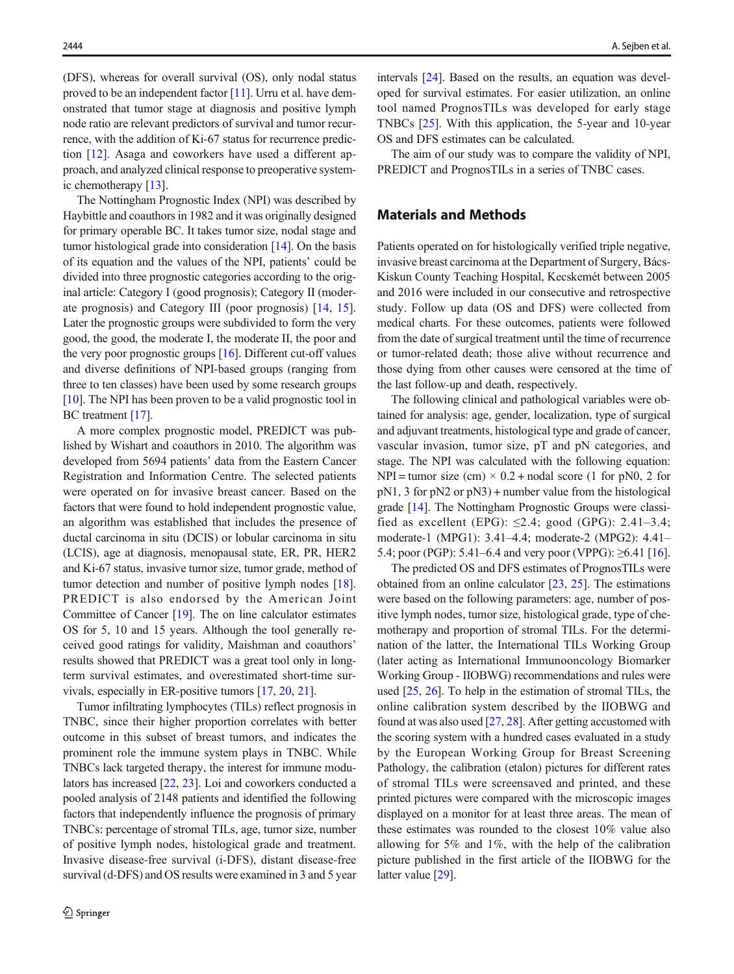(DFS), whereas for overall survival (OS), only nodal status proved to be an independent factor [\[11\]](#page-6-0). Urru et al. have demonstrated that tumor stage at diagnosis and positive lymph node ratio are relevant predictors of survival and tumor recurrence, with the addition of Ki-67 status for recurrence prediction [[12\]](#page-6-0). Asaga and coworkers have used a different approach, and analyzed clinical response to preoperative systemic chemotherapy [\[13](#page-6-0)].

The Nottingham Prognostic Index (NPI) was described by Haybittle and coauthors in 1982 and it was originally designed for primary operable BC. It takes tumor size, nodal stage and tumor histological grade into consideration [\[14\]](#page-6-0). On the basis of its equation and the values of the NPI, patients' could be divided into three prognostic categories according to the original article: Category I (good prognosis); Category II (moderate prognosis) and Category III (poor prognosis) [\[14](#page-6-0), [15](#page-6-0)]. Later the prognostic groups were subdivided to form the very good, the good, the moderate I, the moderate II, the poor and the very poor prognostic groups [[16](#page-6-0)]. Different cut-off values and diverse definitions of NPI-based groups (ranging from three to ten classes) have been used by some research groups [\[10\]](#page-6-0). The NPI has been proven to be a valid prognostic tool in BC treatment [[17\]](#page-6-0).

A more complex prognostic model, PREDICT was published by Wishart and coauthors in 2010. The algorithm was developed from 5694 patients' data from the Eastern Cancer Registration and Information Centre. The selected patients were operated on for invasive breast cancer. Based on the factors that were found to hold independent prognostic value, an algorithm was established that includes the presence of ductal carcinoma in situ (DCIS) or lobular carcinoma in situ (LCIS), age at diagnosis, menopausal state, ER, PR, HER2 and Ki-67 status, invasive tumor size, tumor grade, method of tumor detection and number of positive lymph nodes [[18](#page-6-0)]. PREDICT is also endorsed by the American Joint Committee of Cancer [\[19\]](#page-6-0). The on line calculator estimates OS for 5, 10 and 15 years. Although the tool generally received good ratings for validity, Maishman and coauthors' results showed that PREDICT was a great tool only in longterm survival estimates, and overestimated short-time survivals, especially in ER-positive tumors [[17,](#page-6-0) [20,](#page-6-0) [21](#page-6-0)].

Tumor infiltrating lymphocytes (TILs) reflect prognosis in TNBC, since their higher proportion correlates with better outcome in this subset of breast tumors, and indicates the prominent role the immune system plays in TNBC. While TNBCs lack targeted therapy, the interest for immune modulators has increased [\[22,](#page-6-0) [23\]](#page-6-0). Loi and coworkers conducted a pooled analysis of 2148 patients and identified the following factors that independently influence the prognosis of primary TNBCs: percentage of stromal TILs, age, tumor size, number of positive lymph nodes, histological grade and treatment. Invasive disease-free survival (i-DFS), distant disease-free survival (d-DFS) and OS results were examined in 3 and 5 year intervals [[24\]](#page-6-0). Based on the results, an equation was developed for survival estimates. For easier utilization, an online tool named PrognosTILs was developed for early stage TNBCs [\[25\]](#page-7-0). With this application, the 5-year and 10-year OS and DFS estimates can be calculated.

The aim of our study was to compare the validity of NPI, PREDICT and PrognosTILs in a series of TNBC cases.

# Materials and Methods

Patients operated on for histologically verified triple negative, invasive breast carcinoma at the Department of Surgery, Bács-Kiskun County Teaching Hospital, Kecskemét between 2005 and 2016 were included in our consecutive and retrospective study. Follow up data (OS and DFS) were collected from medical charts. For these outcomes, patients were followed from the date of surgical treatment until the time of recurrence or tumor-related death; those alive without recurrence and those dying from other causes were censored at the time of the last follow-up and death, respectively.

The following clinical and pathological variables were obtained for analysis: age, gender, localization, type of surgical and adjuvant treatments, histological type and grade of cancer, vascular invasion, tumor size, pT and pN categories, and stage. The NPI was calculated with the following equation: NPI = tumor size (cm)  $\times$  0.2 + nodal score (1 for pN0, 2 for pN1, 3 for pN2 or pN3) + number value from the histological grade [\[14\]](#page-6-0). The Nottingham Prognostic Groups were classified as excellent (EPG):  $\leq$ 2.4; good (GPG): 2.41–3.4; moderate-1 (MPG1): 3.41–4.4; moderate-2 (MPG2): 4.41– 5.4; poor (PGP): 5.41–6.4 and very poor (VPPG): ≥6.41 [[16\]](#page-6-0).

The predicted OS and DFS estimates of PrognosTILs were obtained from an online calculator [\[23](#page-6-0), [25](#page-7-0)]. The estimations were based on the following parameters: age, number of positive lymph nodes, tumor size, histological grade, type of chemotherapy and proportion of stromal TILs. For the determination of the latter, the International TILs Working Group (later acting as International Immunooncology Biomarker Working Group - IIOBWG) recommendations and rules were used [\[25,](#page-7-0) [26](#page-7-0)]. To help in the estimation of stromal TILs, the online calibration system described by the IIOBWG and found at was also used [\[27,](#page-7-0) [28\]](#page-7-0). After getting accustomed with the scoring system with a hundred cases evaluated in a study by the European Working Group for Breast Screening Pathology, the calibration (etalon) pictures for different rates of stromal TILs were screensaved and printed, and these printed pictures were compared with the microscopic images displayed on a monitor for at least three areas. The mean of these estimates was rounded to the closest 10% value also allowing for 5% and 1%, with the help of the calibration picture published in the first article of the IIOBWG for the latter value [\[29\]](#page-7-0).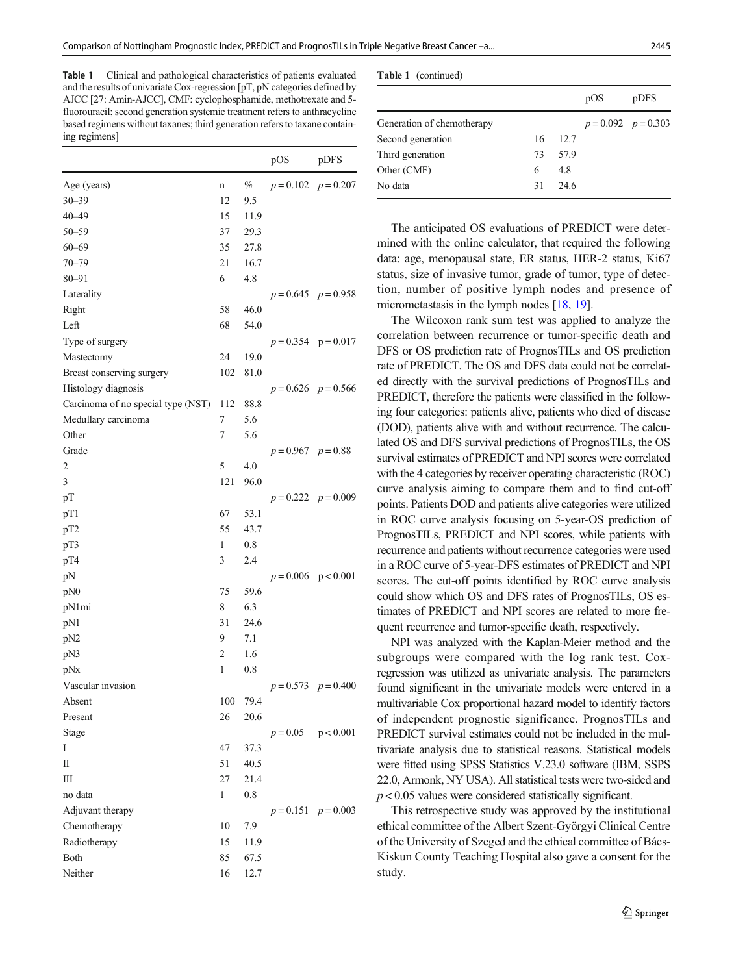<span id="page-2-0"></span>Table 1 Clinical and pathological characteristics of patients evaluated and the results of univariate Cox-regression [pT, pN categories defined by AJCC [27: Amin-AJCC], CMF: cyclophosphamide, methotrexate and 5 fluorouracil; second generation systemic treatment refers to anthracycline based regimens without taxanes; third generation refers to taxane containing regimens]

|                                    |             |         | pOS                     | pDFS      |
|------------------------------------|-------------|---------|-------------------------|-----------|
| Age (years)                        | $\mathbf n$ | %       | $p = 0.102$ $p = 0.207$ |           |
| $30 - 39$                          | 12          | 9.5     |                         |           |
| $40 - 49$                          | 15          | 11.9    |                         |           |
| $50 - 59$                          | 37          | 29.3    |                         |           |
| $60 - 69$                          | 35          | 27.8    |                         |           |
| $70 - 79$                          | 21          | 16.7    |                         |           |
| $80 - 91$                          | 6           | 4.8     |                         |           |
| Laterality                         |             |         | $p = 0.645$ $p = 0.958$ |           |
| Right                              | 58          | 46.0    |                         |           |
| Left                               | 68          | 54.0    |                         |           |
| Type of surgery                    |             |         | $p = 0.354$ $p = 0.017$ |           |
| Mastectomy                         | 24          | 19.0    |                         |           |
| Breast conserving surgery          | 102         | 81.0    |                         |           |
| Histology diagnosis                |             |         | $p = 0.626$ $p = 0.566$ |           |
| Carcinoma of no special type (NST) | 112         | 88.8    |                         |           |
| Medullary carcinoma                | 7           | 5.6     |                         |           |
| Other                              | 7           | 5.6     |                         |           |
| Grade                              |             |         | $p = 0.967$ $p = 0.88$  |           |
| 2                                  | 5           | 4.0     |                         |           |
| 3                                  | 121         | 96.0    |                         |           |
| pT                                 |             |         | $p = 0.222$ $p = 0.009$ |           |
| pT1                                | 67          | 53.1    |                         |           |
| pT2                                | 55          | 43.7    |                         |           |
| pT3                                | 1           | 0.8     |                         |           |
| pT4                                | 3           | 2.4     |                         |           |
| pN                                 |             |         | $p = 0.006$ $p < 0.001$ |           |
| pN0                                | 75          | 59.6    |                         |           |
| pN1mi                              | 8           | 6.3     |                         |           |
| pN1                                | 31          | 24.6    |                         |           |
| pN2                                | 9           | 7.1     |                         |           |
| pN3                                | 2           | 1.6     |                         |           |
| pNx                                | 1           | 0.8     |                         |           |
| Vascular invasion                  |             |         | $p = 0.573$ $p = 0.400$ |           |
| Absent                             | 100         | 79.4    |                         |           |
| Present                            | 26          | 20.6    |                         |           |
| Stage                              |             |         | $p = 0.05$              | p < 0.001 |
| I                                  | 47          | 37.3    |                         |           |
| П                                  | 51          | 40.5    |                         |           |
| Ш                                  | 27          | 21.4    |                         |           |
| no data                            | 1           | $0.8\,$ |                         |           |
| Adjuvant therapy                   |             |         | $p = 0.151$ $p = 0.003$ |           |
| Chemotherapy                       | 10          | 7.9     |                         |           |
| Radiotherapy                       | 15          | 11.9    |                         |           |
| Both                               | 85          | 67.5    |                         |           |
| Neither                            | 16          | 12.7    |                         |           |

| <b>Table 1</b> (continued) |  |
|----------------------------|--|
|----------------------------|--|

|                            |    |         | pOS                     | pDFS |
|----------------------------|----|---------|-------------------------|------|
| Generation of chemotherapy |    |         | $p = 0.092$ $p = 0.303$ |      |
| Second generation          | 16 | 12.7    |                         |      |
| Third generation           |    | 73 57.9 |                         |      |
| Other (CMF)                | 6  | 4.8     |                         |      |
| No data                    | 31 | 24.6    |                         |      |
|                            |    |         |                         |      |

The anticipated OS evaluations of PREDICT were determined with the online calculator, that required the following data: age, menopausal state, ER status, HER-2 status, Ki67 status, size of invasive tumor, grade of tumor, type of detection, number of positive lymph nodes and presence of micrometastasis in the lymph nodes [\[18](#page-6-0), [19](#page-6-0)].

The Wilcoxon rank sum test was applied to analyze the correlation between recurrence or tumor-specific death and DFS or OS prediction rate of PrognosTILs and OS prediction rate of PREDICT. The OS and DFS data could not be correlated directly with the survival predictions of PrognosTILs and PREDICT, therefore the patients were classified in the following four categories: patients alive, patients who died of disease (DOD), patients alive with and without recurrence. The calculated OS and DFS survival predictions of PrognosTILs, the OS survival estimates of PREDICT and NPI scores were correlated with the 4 categories by receiver operating characteristic (ROC) curve analysis aiming to compare them and to find cut-off points. Patients DOD and patients alive categories were utilized in ROC curve analysis focusing on 5-year-OS prediction of PrognosTILs, PREDICT and NPI scores, while patients with recurrence and patients without recurrence categories were used in a ROC curve of 5-year-DFS estimates of PREDICT and NPI scores. The cut-off points identified by ROC curve analysis could show which OS and DFS rates of PrognosTILs, OS estimates of PREDICT and NPI scores are related to more frequent recurrence and tumor-specific death, respectively.

NPI was analyzed with the Kaplan-Meier method and the subgroups were compared with the log rank test. Coxregression was utilized as univariate analysis. The parameters found significant in the univariate models were entered in a multivariable Cox proportional hazard model to identify factors of independent prognostic significance. PrognosTILs and PREDICT survival estimates could not be included in the multivariate analysis due to statistical reasons. Statistical models were fitted using SPSS Statistics V.23.0 software (IBM, SSPS 22.0, Armonk, NY USA). All statistical tests were two-sided and  $p < 0.05$  values were considered statistically significant.

This retrospective study was approved by the institutional ethical committee of the Albert Szent-Györgyi Clinical Centre of the University of Szeged and the ethical committee of Bács-Kiskun County Teaching Hospital also gave a consent for the study.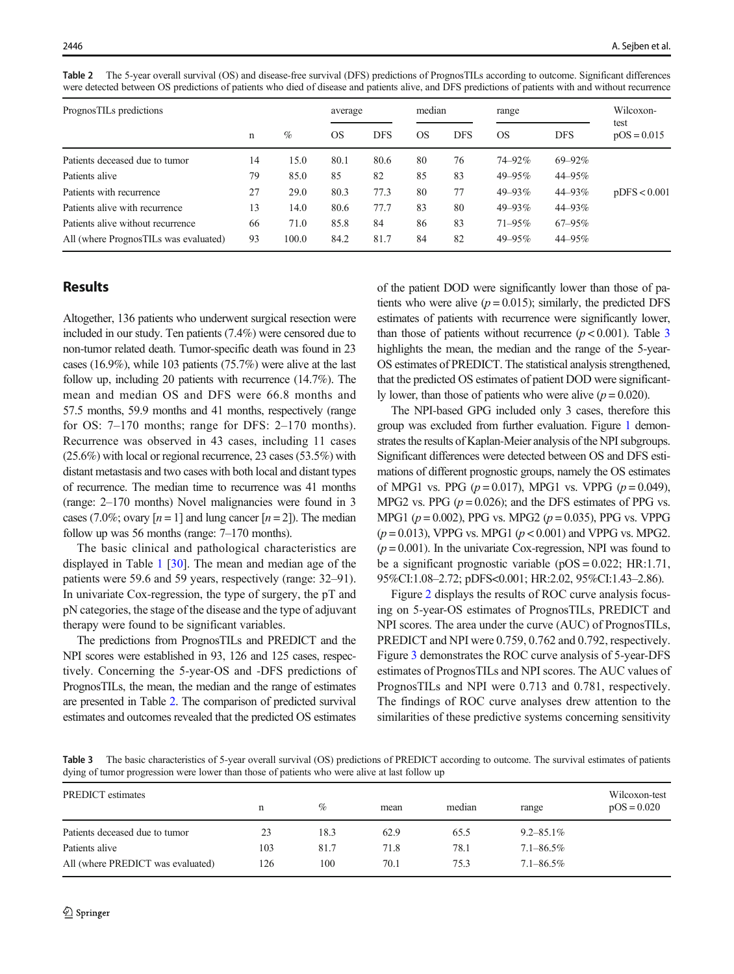Table 2 The 5-year overall survival (OS) and disease-free survival (DFS) predictions of PrognosTILs according to outcome. Significant differences were detected between OS predictions of patients who died of disease and patients alive, and DFS predictions of patients with and without recurrence

| PrognosTILs predictions               |             |       | average   |            | median    |            | range       |             | Wilcoxon-             |
|---------------------------------------|-------------|-------|-----------|------------|-----------|------------|-------------|-------------|-----------------------|
|                                       | $\mathbf n$ | $\%$  | <b>OS</b> | <b>DFS</b> | <b>OS</b> | <b>DFS</b> | <b>OS</b>   | <b>DFS</b>  | test<br>$pOS = 0.015$ |
| Patients deceased due to tumor        | 14          | 15.0  | 80.1      | 80.6       | 80        | 76         | $74 - 92\%$ | $69 - 92\%$ |                       |
| Patients alive                        | 79          | 85.0  | 85        | 82         | 85        | 83         | $49 - 95\%$ | 44–95%      |                       |
| Patients with recurrence              | 27          | 29.0  | 80.3      | 77.3       | 80        | 77         | $49 - 93\%$ | 44–93%      | pDFS < 0.001          |
| Patients alive with recurrence        | 13          | 14.0  | 80.6      | 77.7       | 83        | 80         | $49 - 93\%$ | 44–93%      |                       |
| Patients alive without recurrence     | 66          | 71.0  | 85.8      | 84         | 86        | 83         | $71 - 95\%$ | $67 - 95\%$ |                       |
| All (where PrognosTILs was evaluated) | 93          | 100.0 | 84.2      | 81.7       | 84        | 82         | $49 - 95\%$ | 44–95%      |                       |

## Results

Altogether, 136 patients who underwent surgical resection were included in our study. Ten patients (7.4%) were censored due to non-tumor related death. Tumor-specific death was found in 23 cases (16.9%), while 103 patients (75.7%) were alive at the last follow up, including 20 patients with recurrence (14.7%). The mean and median OS and DFS were 66.8 months and 57.5 months, 59.9 months and 41 months, respectively (range for OS: 7–170 months; range for DFS: 2–170 months). Recurrence was observed in 43 cases, including 11 cases (25.6%) with local or regional recurrence, 23 cases (53.5%) with distant metastasis and two cases with both local and distant types of recurrence. The median time to recurrence was 41 months (range: 2–170 months) Novel malignancies were found in 3 cases (7.0%; ovary  $[n = 1]$  and lung cancer  $[n = 2]$ ). The median follow up was 56 months (range: 7–170 months).

The basic clinical and pathological characteristics are displayed in Table [1](#page-2-0) [[30\]](#page-7-0). The mean and median age of the patients were 59.6 and 59 years, respectively (range: 32–91). In univariate Cox-regression, the type of surgery, the pT and pN categories, the stage of the disease and the type of adjuvant therapy were found to be significant variables.

The predictions from PrognosTILs and PREDICT and the NPI scores were established in 93, 126 and 125 cases, respectively. Concerning the 5-year-OS and -DFS predictions of PrognosTILs, the mean, the median and the range of estimates are presented in Table 2. The comparison of predicted survival estimates and outcomes revealed that the predicted OS estimates

of the patient DOD were significantly lower than those of patients who were alive  $(p = 0.015)$ ; similarly, the predicted DFS estimates of patients with recurrence were significantly lower, than those of patients without recurrence ( $p < 0.001$ ). Table 3 highlights the mean, the median and the range of the 5-year-OS estimates of PREDICT. The statistical analysis strengthened, that the predicted OS estimates of patient DOD were significantly lower, than those of patients who were alive  $(p = 0.020)$ .

The NPI-based GPG included only 3 cases, therefore this group was excluded from further evaluation. Figure [1](#page-4-0) demonstrates the results of Kaplan-Meier analysis of the NPI subgroups. Significant differences were detected between OS and DFS estimations of different prognostic groups, namely the OS estimates of MPG1 vs. PPG ( $p = 0.017$ ), MPG1 vs. VPPG ( $p = 0.049$ ), MPG2 vs. PPG  $(p = 0.026)$ ; and the DFS estimates of PPG vs. MPG1 ( $p = 0.002$ ), PPG vs. MPG2 ( $p = 0.035$ ), PPG vs. VPPG  $(p = 0.013)$ , VPPG vs. MPG1  $(p < 0.001)$  and VPPG vs. MPG2.  $(p = 0.001)$ . In the univariate Cox-regression, NPI was found to be a significant prognostic variable ( $pOS = 0.022$ ; HR:1.71, 95%CI:1.08–2.72; pDFS<0.001; HR:2.02, 95%CI:1.43–2.86).

Figure [2](#page-4-0) displays the results of ROC curve analysis focusing on 5-year-OS estimates of PrognosTILs, PREDICT and NPI scores. The area under the curve (AUC) of PrognosTILs, PREDICT and NPI were 0.759, 0.762 and 0.792, respectively. Figure [3](#page-4-0) demonstrates the ROC curve analysis of 5-year-DFS estimates of PrognosTILs and NPI scores. The AUC values of PrognosTILs and NPI were 0.713 and 0.781, respectively. The findings of ROC curve analyses drew attention to the similarities of these predictive systems concerning sensitivity

Table 3 The basic characteristics of 5-year overall survival (OS) predictions of PREDICT according to outcome. The survival estimates of patients dying of tumor progression were lower than those of patients who were alive at last follow up

| <b>PREDICT</b> estimates          |     |      |      |        |                | Wilcoxon-test |
|-----------------------------------|-----|------|------|--------|----------------|---------------|
|                                   | n   | $\%$ | mean | median | range          | $pOS = 0.020$ |
| Patients deceased due to tumor    | 23  | 18.3 | 62.9 | 65.5   | $9.2 - 85.1\%$ |               |
| Patients alive                    | 103 | 81.7 | 71.8 | 78.1   | $7.1 - 86.5\%$ |               |
| All (where PREDICT was evaluated) | 126 | 100  | 70.1 | 75.3   | $7.1 - 86.5\%$ |               |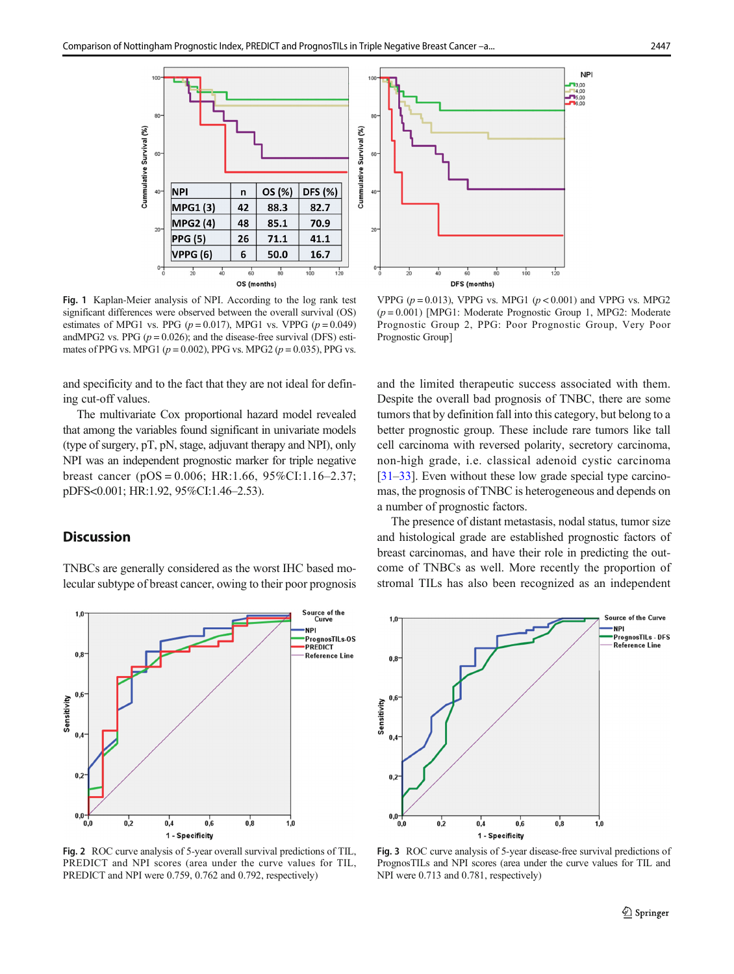**NPI** 

<span id="page-4-0"></span>

Fig. 1 Kaplan-Meier analysis of NPI. According to the log rank test significant differences were observed between the overall survival (OS) estimates of MPG1 vs. PPG ( $p = 0.017$ ), MPG1 vs. VPPG ( $p = 0.049$ ) andMPG2 vs. PPG  $(p = 0.026)$ ; and the disease-free survival (DFS) estimates of PPG vs. MPG1 ( $p = 0.002$ ), PPG vs. MPG2 ( $p = 0.035$ ), PPG vs.

and specificity and to the fact that they are not ideal for defining cut-off values.

The multivariate Cox proportional hazard model revealed that among the variables found significant in univariate models (type of surgery, pT, pN, stage, adjuvant therapy and NPI), only NPI was an independent prognostic marker for triple negative breast cancer (pOS = 0.006; HR:1.66, 95%CI:1.16–2.37; pDFS<0.001; HR:1.92, 95%CI:1.46–2.53).

# **Discussion**

TNBCs are generally considered as the worst IHC based molecular subtype of breast cancer, owing to their poor prognosis



Fig. 2 ROC curve analysis of 5-year overall survival predictions of TIL, PREDICT and NPI scores (area under the curve values for TIL, PREDICT and NPI were 0.759, 0.762 and 0.792, respectively)



VPPG ( $p = 0.013$ ), VPPG vs. MPG1 ( $p < 0.001$ ) and VPPG vs. MPG2 (p = 0.001) [MPG1: Moderate Prognostic Group 1, MPG2: Moderate Prognostic Group 2, PPG: Poor Prognostic Group, Very Poor Prognostic Group]

and the limited therapeutic success associated with them. Despite the overall bad prognosis of TNBC, there are some tumors that by definition fall into this category, but belong to a better prognostic group. These include rare tumors like tall cell carcinoma with reversed polarity, secretory carcinoma, non-high grade, i.e. classical adenoid cystic carcinoma [\[31](#page-7-0)–[33\]](#page-7-0). Even without these low grade special type carcinomas, the prognosis of TNBC is heterogeneous and depends on a number of prognostic factors.

The presence of distant metastasis, nodal status, tumor size and histological grade are established prognostic factors of breast carcinomas, and have their role in predicting the outcome of TNBCs as well. More recently the proportion of stromal TILs has also been recognized as an independent



Fig. 3 ROC curve analysis of 5-year disease-free survival predictions of PrognosTILs and NPI scores (area under the curve values for TIL and NPI were 0.713 and 0.781, respectively)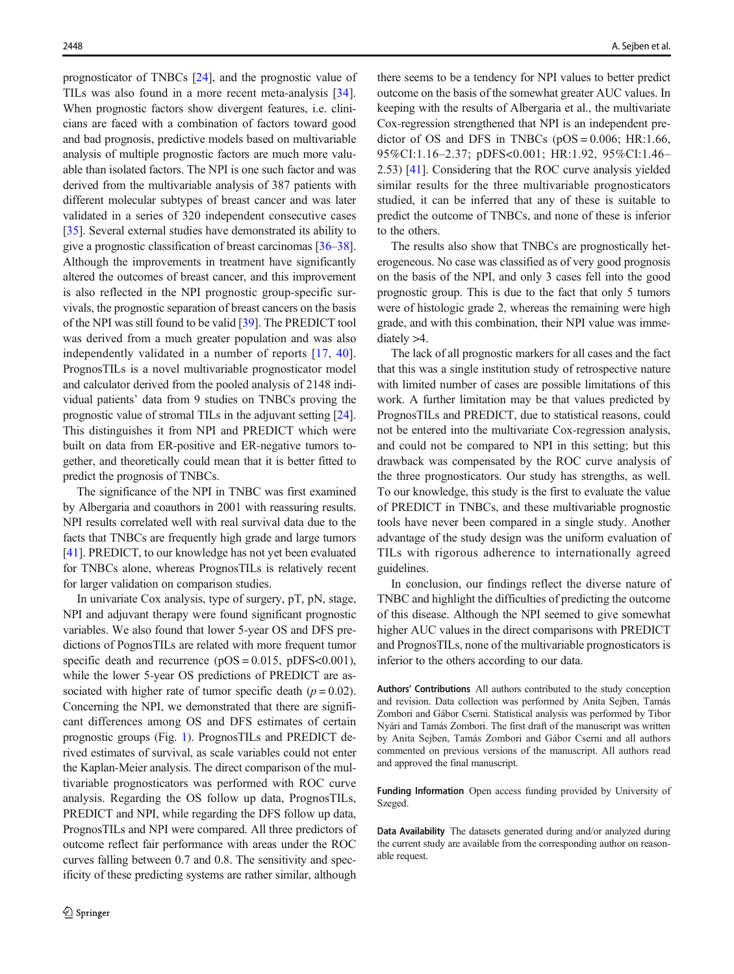prognosticator of TNBCs [\[24](#page-6-0)], and the prognostic value of TILs was also found in a more recent meta-analysis [\[34](#page-7-0)]. When prognostic factors show divergent features, i.e. clinicians are faced with a combination of factors toward good and bad prognosis, predictive models based on multivariable analysis of multiple prognostic factors are much more valuable than isolated factors. The NPI is one such factor and was derived from the multivariable analysis of 387 patients with different molecular subtypes of breast cancer and was later validated in a series of 320 independent consecutive cases [\[35\]](#page-7-0). Several external studies have demonstrated its ability to give a prognostic classification of breast carcinomas [\[36](#page-7-0)–[38\]](#page-7-0). Although the improvements in treatment have significantly altered the outcomes of breast cancer, and this improvement is also reflected in the NPI prognostic group-specific survivals, the prognostic separation of breast cancers on the basis of the NPI was still found to be valid [[39](#page-7-0)]. The PREDICT tool was derived from a much greater population and was also independently validated in a number of reports [\[17,](#page-6-0) [40](#page-7-0)]. PrognosTILs is a novel multivariable prognosticator model and calculator derived from the pooled analysis of 2148 individual patients' data from 9 studies on TNBCs proving the prognostic value of stromal TILs in the adjuvant setting [[24\]](#page-6-0). This distinguishes it from NPI and PREDICT which were built on data from ER-positive and ER-negative tumors together, and theoretically could mean that it is better fitted to predict the prognosis of TNBCs.

The significance of the NPI in TNBC was first examined by Albergaria and coauthors in 2001 with reassuring results. NPI results correlated well with real survival data due to the facts that TNBCs are frequently high grade and large tumors [\[41\]](#page-7-0). PREDICT, to our knowledge has not yet been evaluated for TNBCs alone, whereas PrognosTILs is relatively recent for larger validation on comparison studies.

In univariate Cox analysis, type of surgery, pT, pN, stage, NPI and adjuvant therapy were found significant prognostic variables. We also found that lower 5-year OS and DFS predictions of PognosTILs are related with more frequent tumor specific death and recurrence  $(pOS = 0.015, pDFS < 0.001)$ , while the lower 5-year OS predictions of PREDICT are associated with higher rate of tumor specific death  $(p = 0.02)$ . Concerning the NPI, we demonstrated that there are significant differences among OS and DFS estimates of certain prognostic groups (Fig. [1](#page-4-0)). PrognosTILs and PREDICT derived estimates of survival, as scale variables could not enter the Kaplan-Meier analysis. The direct comparison of the multivariable prognosticators was performed with ROC curve analysis. Regarding the OS follow up data, PrognosTILs, PREDICT and NPI, while regarding the DFS follow up data, PrognosTILs and NPI were compared. All three predictors of outcome reflect fair performance with areas under the ROC curves falling between 0.7 and 0.8. The sensitivity and specificity of these predicting systems are rather similar, although

there seems to be a tendency for NPI values to better predict outcome on the basis of the somewhat greater AUC values. In keeping with the results of Albergaria et al., the multivariate Cox-regression strengthened that NPI is an independent predictor of OS and DFS in TNBCs ( $pOS = 0.006$ ; HR:1.66, 95%CI:1.16–2.37; pDFS<0.001; HR:1.92, 95%CI:1.46– 2.53) [[41](#page-7-0)]. Considering that the ROC curve analysis yielded similar results for the three multivariable prognosticators studied, it can be inferred that any of these is suitable to predict the outcome of TNBCs, and none of these is inferior to the others.

The results also show that TNBCs are prognostically heterogeneous. No case was classified as of very good prognosis on the basis of the NPI, and only 3 cases fell into the good prognostic group. This is due to the fact that only 5 tumors were of histologic grade 2, whereas the remaining were high grade, and with this combination, their NPI value was immediately >4.

The lack of all prognostic markers for all cases and the fact that this was a single institution study of retrospective nature with limited number of cases are possible limitations of this work. A further limitation may be that values predicted by PrognosTILs and PREDICT, due to statistical reasons, could not be entered into the multivariate Cox-regression analysis, and could not be compared to NPI in this setting; but this drawback was compensated by the ROC curve analysis of the three prognosticators. Our study has strengths, as well. To our knowledge, this study is the first to evaluate the value of PREDICT in TNBCs, and these multivariable prognostic tools have never been compared in a single study. Another advantage of the study design was the uniform evaluation of TILs with rigorous adherence to internationally agreed guidelines.

In conclusion, our findings reflect the diverse nature of TNBC and highlight the difficulties of predicting the outcome of this disease. Although the NPI seemed to give somewhat higher AUC values in the direct comparisons with PREDICT and PrognosTILs, none of the multivariable prognosticators is inferior to the others according to our data.

Authors' Contributions All authors contributed to the study conception and revision. Data collection was performed by Anita Sejben, Tamás Zombori and Gábor Cserni. Statistical analysis was performed by Tibor Nyári and Tamás Zombori. The first draft of the manuscript was written by Anita Sejben, Tamás Zombori and Gábor Cserni and all authors commented on previous versions of the manuscript. All authors read and approved the final manuscript.

Funding Information Open access funding provided by University of Szeged.

Data Availability The datasets generated during and/or analyzed during the current study are available from the corresponding author on reasonable request.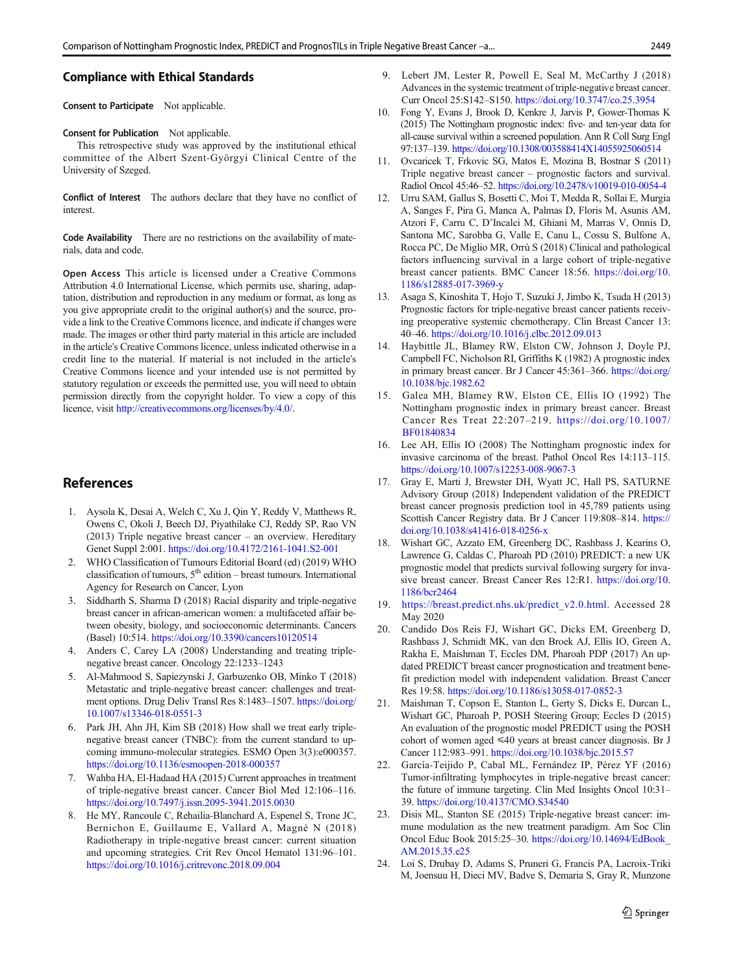#### <span id="page-6-0"></span>Compliance with Ethical Standards

Consent to Participate Not applicable.

Consent for Publication Not applicable.

This retrospective study was approved by the institutional ethical committee of the Albert Szent-Györgyi Clinical Centre of the University of Szeged.

Conflict of Interest The authors declare that they have no conflict of interest.

Code Availability There are no restrictions on the availability of materials, data and code.

Open Access This article is licensed under a Creative Commons Attribution 4.0 International License, which permits use, sharing, adaptation, distribution and reproduction in any medium or format, as long as you give appropriate credit to the original author(s) and the source, provide a link to the Creative Commons licence, and indicate if changes were made. The images or other third party material in this article are included in the article's Creative Commons licence, unless indicated otherwise in a credit line to the material. If material is not included in the article's Creative Commons licence and your intended use is not permitted by statutory regulation or exceeds the permitted use, you will need to obtain permission directly from the copyright holder. To view a copy of this licence, visit <http://creativecommons.org/licenses/by/4.0/>.

#### **References**

- 1. Aysola K, Desai A, Welch C, Xu J, Qin Y, Reddy V, Matthews R, Owens C, Okoli J, Beech DJ, Piyathilake CJ, Reddy SP, Rao VN (2013) Triple negative breast cancer – an overview. Hereditary Genet Suppl 2:001. <https://doi.org/10.4172/2161-1041.S2-001>
- 2. WHO Classification of Tumours Editorial Board (ed) (2019) WHO classification of tumours,  $5<sup>th</sup>$  edition – breast tumours. International Agency for Research on Cancer, Lyon
- 3. Siddharth S, Sharma D (2018) Racial disparity and triple-negative breast cancer in african-american women: a multifaceted affair between obesity, biology, and socioeconomic determinants. Cancers (Basel) 10:514. <https://doi.org/10.3390/cancers10120514>
- 4. Anders C, Carey LA (2008) Understanding and treating triplenegative breast cancer. Oncology 22:1233–1243
- 5. Al-Mahmood S, Sapiezynski J, Garbuzenko OB, Minko T (2018) Metastatic and triple-negative breast cancer: challenges and treatment options. Drug Deliv Transl Res 8:1483–1507. [https://doi.org/](https://doi.org/10.1007/s13346-018-0551-3) [10.1007/s13346-018-0551-3](https://doi.org/10.1007/s13346-018-0551-3)
- 6. Park JH, Ahn JH, Kim SB (2018) How shall we treat early triplenegative breast cancer (TNBC): from the current standard to upcoming immuno-molecular strategies. ESMO Open 3(3):e000357. <https://doi.org/10.1136/esmoopen-2018-000357>
- 7. Wahba HA, El-Hadaad HA (2015) Current approaches in treatment of triple-negative breast cancer. Cancer Biol Med 12:106–116. <https://doi.org/10.7497/j.issn.2095-3941.2015.0030>
- 8. He MY, Rancoule C, Rehailia-Blanchard A, Espenel S, Trone JC, Bernichon E, Guillaume E, Vallard A, Magné N (2018) Radiotherapy in triple-negative breast cancer: current situation and upcoming strategies. Crit Rev Oncol Hematol 131:96–101. <https://doi.org/10.1016/j.critrevonc.2018.09.004>
- 9. Lebert JM, Lester R, Powell E, Seal M, McCarthy J (2018) Advances in the systemic treatment of triple-negative breast cancer. Curr Oncol 25:S142–S150. <https://doi.org/10.3747/co.25.3954>
- 10. Fong Y, Evans J, Brook D, Kenkre J, Jarvis P, Gower-Thomas K (2015) The Nottingham prognostic index: five- and ten-year data for all-cause survival within a screened population. Ann R Coll Surg Engl 97:137–139. <https://doi.org/10.1308/003588414X14055925060514>
- 11. Ovcaricek T, Frkovic SG, Matos E, Mozina B, Bostnar S (2011) Triple negative breast cancer – prognostic factors and survival. Radiol Oncol 45:46–52. [https://doi.org/10.2478/v10019-010-0054-4](http://creativecommons.org/licenses/by/4.0/)
- 12. Urru SAM, Gallus S, Bosetti C, Moi T, Medda R, Sollai E, Murgia A, Sanges F, Pira G, Manca A, Palmas D, Floris M, Asunis AM, Atzori F, Carru C, D'Incalci M, Ghiani M, Marras V, Onnis D, Santona MC, Sarobba G, Valle E, Canu L, Cossu S, Bulfone A, Rocca PC, De Miglio MR, Orrù S (2018) Clinical and pathological factors influencing survival in a large cohort of triple-negative breast cancer patients. BMC Cancer 18:56. [https://doi.org/10.](https://doi.org/10.1186/s12885-017-3969-y) [1186/s12885-017-3969-y](https://doi.org/10.1186/s12885-017-3969-y)
- 13. Asaga S, Kinoshita T, Hojo T, Suzuki J, Jimbo K, Tsuda H (2013) Prognostic factors for triple-negative breast cancer patients receiving preoperative systemic chemotherapy. Clin Breast Cancer 13: 40–46. <https://doi.org/10.1016/j.clbc.2012.09.013>
- 14. Haybittle JL, Blamey RW, Elston CW, Johnson J, Doyle PJ, Campbell FC, Nicholson RI, Griffiths K (1982) A prognostic index in primary breast cancer. Br J Cancer 45:361–366. [https://doi.org/](https://doi.org/10.1038/bjc.1982.62) [10.1038/bjc.1982.62](https://doi.org/10.1038/bjc.1982.62)
- 15. Galea MH, Blamey RW, Elston CE, Ellis IO (1992) The Nottingham prognostic index in primary breast cancer. Breast Cancer Res Treat 22:207–219. [https://doi.org/10.1007/](https://doi.org/10.1007/BF01840834) [BF01840834](https://doi.org/10.1007/BF01840834)
- 16. Lee AH, Ellis IO (2008) The Nottingham prognostic index for invasive carcinoma of the breast. Pathol Oncol Res 14:113–115. <https://doi.org/10.1007/s12253-008-9067-3>
- 17. Gray E, Marti J, Brewster DH, Wyatt JC, Hall PS, SATURNE Advisory Group (2018) Independent validation of the PREDICT breast cancer prognosis prediction tool in 45,789 patients using Scottish Cancer Registry data. Br J Cancer 119:808–814. [https://](https://doi.org/10.1038/s41416-018-0256-x) [doi.org/10.1038/s41416-018-0256-x](https://doi.org/10.1038/s41416-018-0256-x)
- 18. Wishart GC, Azzato EM, Greenberg DC, Rashbass J, Kearins O, Lawrence G, Caldas C, Pharoah PD (2010) PREDICT: a new UK prognostic model that predicts survival following surgery for invasive breast cancer. Breast Cancer Res 12:R1. [https://doi.org/10.](https://doi.org/10.1186/bcr2464) [1186/bcr2464](https://doi.org/10.1186/bcr2464)
- 19. [https://breast.predict.nhs.uk/predict\\_v2.0.html.](http://creativecommons.org/licenses/by/4.0/) Accessed 28 May 2020
- 20. Candido Dos Reis FJ, Wishart GC, Dicks EM, Greenberg D, Rashbass J, Schmidt MK, van den Broek AJ, Ellis IO, Green A, Rakha E, Maishman T, Eccles DM, Pharoah PDP (2017) An updated PREDICT breast cancer prognostication and treatment benefit prediction model with independent validation. Breast Cancer Res 19:58. <https://doi.org/10.1186/s13058-017-0852-3>
- 21. Maishman T, Copson E, Stanton L, Gerty S, Dicks E, Durcan L, Wishart GC, Pharoah P, POSH Steering Group; Eccles D (2015) An evaluation of the prognostic model PREDICT using the POSH cohort of women aged ⩽40 years at breast cancer diagnosis. Br J Cancer 112:983–991. <https://doi.org/10.1038/bjc.2015.57>
- 22. García-Teijido P, Cabal ML, Fernández IP, Pérez YF (2016) Tumor-infiltrating lymphocytes in triple-negative breast cancer: the future of immune targeting. Clin Med Insights Oncol 10:31– 39. <https://doi.org/10.4137/CMO.S34540>
- 23. Disis ML, Stanton SE (2015) Triple-negative breast cancer: immune modulation as the new treatment paradigm. Am Soc Clin Oncol Educ Book 2015:25–30. [https://doi.org/10.14694/EdBook\\_](https://doi.org/10.14694/EdBook_AM.2015.35.e25) [AM.2015.35.e25](https://doi.org/10.14694/EdBook_AM.2015.35.e25)
- 24. Loi S, Drubay D, Adams S, Pruneri G, Francis PA, Lacroix-Triki M, Joensuu H, Dieci MV, Badve S, Demaria S, Gray R, Munzone